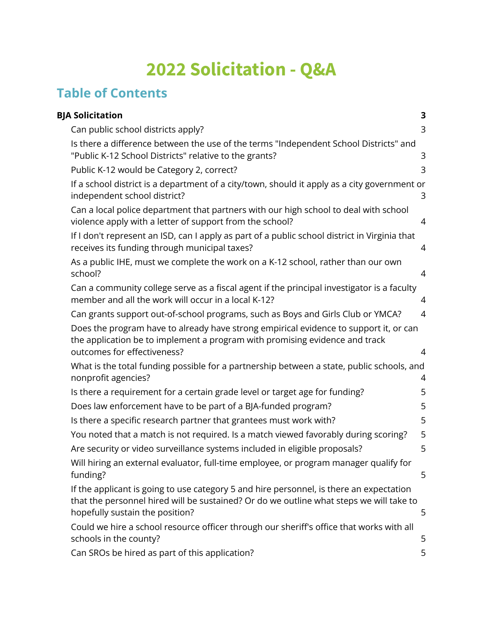# **2022 Solicitation - Q&A**

# **Table of Contents**

| <b>BJA Solicitation</b>                                                                                                                                                                                               | 3              |
|-----------------------------------------------------------------------------------------------------------------------------------------------------------------------------------------------------------------------|----------------|
| Can public school districts apply?                                                                                                                                                                                    | 3              |
| Is there a difference between the use of the terms "Independent School Districts" and<br>"Public K-12 School Districts" relative to the grants?                                                                       | 3              |
| Public K-12 would be Category 2, correct?                                                                                                                                                                             | 3              |
| If a school district is a department of a city/town, should it apply as a city government or<br>independent school district?                                                                                          | 3              |
| Can a local police department that partners with our high school to deal with school<br>violence apply with a letter of support from the school?                                                                      | 4              |
| If I don't represent an ISD, can I apply as part of a public school district in Virginia that<br>receives its funding through municipal taxes?                                                                        | 4              |
| As a public IHE, must we complete the work on a K-12 school, rather than our own<br>school?                                                                                                                           | 4              |
| Can a community college serve as a fiscal agent if the principal investigator is a faculty<br>member and all the work will occur in a local K-12?                                                                     | 4              |
| Can grants support out-of-school programs, such as Boys and Girls Club or YMCA?                                                                                                                                       | $\overline{4}$ |
| Does the program have to already have strong empirical evidence to support it, or can<br>the application be to implement a program with promising evidence and track                                                  |                |
| outcomes for effectiveness?                                                                                                                                                                                           | 4              |
| What is the total funding possible for a partnership between a state, public schools, and<br>nonprofit agencies?                                                                                                      | 4              |
| Is there a requirement for a certain grade level or target age for funding?                                                                                                                                           | 5              |
| Does law enforcement have to be part of a BJA-funded program?                                                                                                                                                         | 5              |
| Is there a specific research partner that grantees must work with?                                                                                                                                                    | 5              |
| You noted that a match is not required. Is a match viewed favorably during scoring?                                                                                                                                   | 5              |
| Are security or video surveillance systems included in eligible proposals?                                                                                                                                            | 5              |
| Will hiring an external evaluator, full-time employee, or program manager qualify for<br>funding?                                                                                                                     | 5              |
| If the applicant is going to use category 5 and hire personnel, is there an expectation<br>that the personnel hired will be sustained? Or do we outline what steps we will take to<br>hopefully sustain the position? | 5              |
| Could we hire a school resource officer through our sheriff's office that works with all<br>schools in the county?                                                                                                    | 5              |
| Can SROs be hired as part of this application?                                                                                                                                                                        | 5              |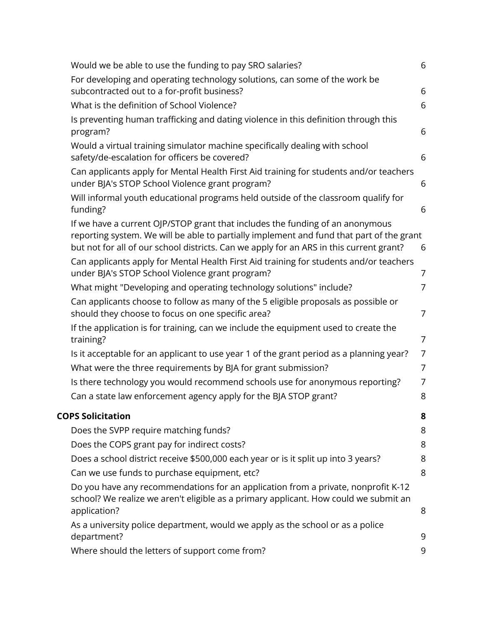| Would we be able to use the funding to pay SRO salaries?                                                                                                                                                                                                             | 6              |
|----------------------------------------------------------------------------------------------------------------------------------------------------------------------------------------------------------------------------------------------------------------------|----------------|
| For developing and operating technology solutions, can some of the work be<br>subcontracted out to a for-profit business?                                                                                                                                            | 6              |
| What is the definition of School Violence?                                                                                                                                                                                                                           | 6              |
| Is preventing human trafficking and dating violence in this definition through this<br>program?                                                                                                                                                                      | 6              |
| Would a virtual training simulator machine specifically dealing with school<br>safety/de-escalation for officers be covered?                                                                                                                                         | 6              |
| Can applicants apply for Mental Health First Aid training for students and/or teachers<br>under BJA's STOP School Violence grant program?                                                                                                                            | 6              |
| Will informal youth educational programs held outside of the classroom qualify for<br>funding?                                                                                                                                                                       | 6              |
| If we have a current OJP/STOP grant that includes the funding of an anonymous<br>reporting system. We will be able to partially implement and fund that part of the grant<br>but not for all of our school districts. Can we apply for an ARS in this current grant? | 6              |
| Can applicants apply for Mental Health First Aid training for students and/or teachers<br>under BJA's STOP School Violence grant program?                                                                                                                            | 7              |
| What might "Developing and operating technology solutions" include?                                                                                                                                                                                                  | 7              |
| Can applicants choose to follow as many of the 5 eligible proposals as possible or<br>should they choose to focus on one specific area?                                                                                                                              | 7              |
| If the application is for training, can we include the equipment used to create the<br>training?                                                                                                                                                                     | $\overline{7}$ |
| Is it acceptable for an applicant to use year 1 of the grant period as a planning year?                                                                                                                                                                              | 7              |
| What were the three requirements by BJA for grant submission?                                                                                                                                                                                                        | 7              |
| Is there technology you would recommend schools use for anonymous reporting?                                                                                                                                                                                         | $\overline{7}$ |
| Can a state law enforcement agency apply for the BJA STOP grant?                                                                                                                                                                                                     | 8              |
| <b>COPS Solicitation</b>                                                                                                                                                                                                                                             | 8              |
| Does the SVPP require matching funds?                                                                                                                                                                                                                                | 8              |
| Does the COPS grant pay for indirect costs?                                                                                                                                                                                                                          | 8              |
| Does a school district receive \$500,000 each year or is it split up into 3 years?                                                                                                                                                                                   | 8              |
| Can we use funds to purchase equipment, etc?                                                                                                                                                                                                                         | 8              |
| Do you have any recommendations for an application from a private, nonprofit K-12<br>school? We realize we aren't eligible as a primary applicant. How could we submit an<br>application?                                                                            | 8              |
| As a university police department, would we apply as the school or as a police                                                                                                                                                                                       |                |
| department?                                                                                                                                                                                                                                                          | 9              |
| Where should the letters of support come from?                                                                                                                                                                                                                       | 9              |
|                                                                                                                                                                                                                                                                      |                |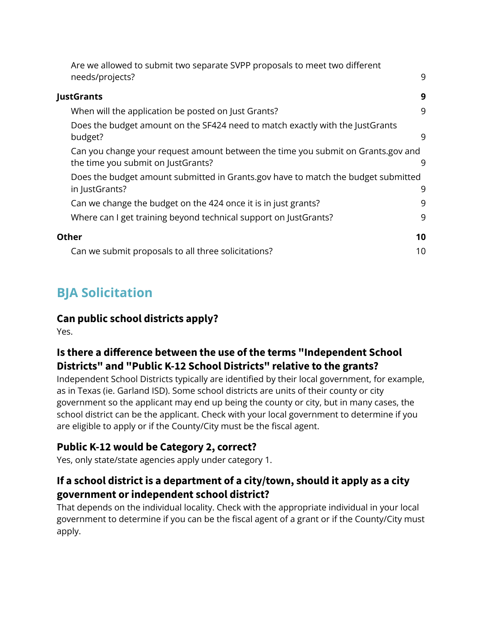| Are we allowed to submit two separate SVPP proposals to meet two different                                             |    |
|------------------------------------------------------------------------------------------------------------------------|----|
| needs/projects?                                                                                                        | 9  |
| JustGrants                                                                                                             | 9  |
| When will the application be posted on Just Grants?                                                                    | 9  |
| Does the budget amount on the SF424 need to match exactly with the JustGrants<br>budget?                               | 9  |
| Can you change your request amount between the time you submit on Grants.gov and<br>the time you submit on JustGrants? | 9  |
| Does the budget amount submitted in Grants.gov have to match the budget submitted<br>in JustGrants?                    | 9  |
| Can we change the budget on the 424 once it is in just grants?                                                         | 9  |
| Where can I get training beyond technical support on JustGrants?                                                       | 9  |
| <b>Other</b>                                                                                                           | 10 |
| Can we submit proposals to all three solicitations?                                                                    | 10 |

# <span id="page-2-0"></span>**BJA Solicitation**

### <span id="page-2-1"></span>**Can public school districts apply?**

Yes.

### <span id="page-2-2"></span>**Is there a difference between the use of the terms "Independent School Districts" and "Public K-12 School Districts" relative to the grants?**

Independent School Districts typically are identified by their local government, for example, as in Texas (ie. Garland ISD). Some school districts are units of their county or city government so the applicant may end up being the county or city, but in many cases, the school district can be the applicant. Check with your local government to determine if you are eligible to apply or if the County/City must be the fiscal agent.

### <span id="page-2-3"></span>**Public K-12 would be Category 2, correct?**

Yes, only state/state agencies apply under category 1.

### <span id="page-2-4"></span>**If a school district is a department of a city/town, should it apply as a city government or independent school district?**

That depends on the individual locality. Check with the appropriate individual in your local government to determine if you can be the fiscal agent of a grant or if the County/City must apply.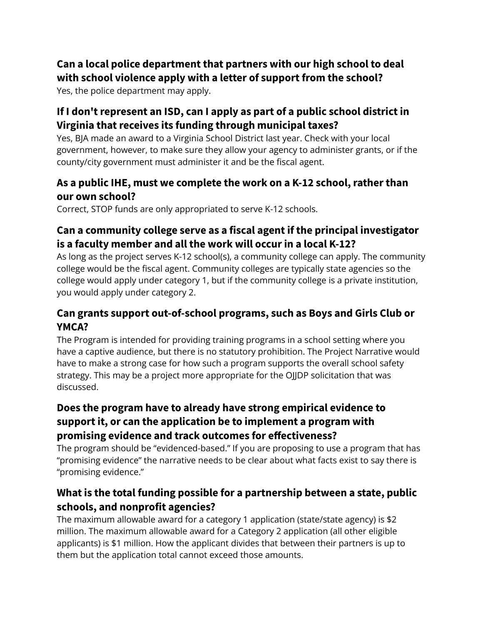### <span id="page-3-0"></span>**Can a local police department that partners with our high school to deal with school violence apply with a letter of support from the school?**

Yes, the police department may apply.

### <span id="page-3-1"></span>**If I don't represent an ISD, can I apply as part of a public school district in Virginia that receives its funding through municipal taxes?**

Yes, BJA made an award to a Virginia School District last year. Check with your local government, however, to make sure they allow your agency to administer grants, or if the county/city government must administer it and be the fiscal agent.

### <span id="page-3-2"></span>**As a public IHE, must we complete the work on a K-12 school, rather than our own school?**

Correct, STOP funds are only appropriated to serve K-12 schools.

### <span id="page-3-3"></span>**Can a community college serve as a fiscal agent if the principal investigator is a faculty member and all the work will occur in a local K-12?**

As long as the project serves K-12 school(s), a community college can apply. The community college would be the fiscal agent. Community colleges are typically state agencies so the college would apply under category 1, but if the community college is a private institution, you would apply under category 2.

### <span id="page-3-4"></span>**Can grants support out-of-school programs, such as Boys and Girls Club or YMCA?**

The Program is intended for providing training programs in a school setting where you have a captive audience, but there is no statutory prohibition. The Project Narrative would have to make a strong case for how such a program supports the overall school safety strategy. This may be a project more appropriate for the OJJDP solicitation that was discussed.

### **Does the program have to already have strong empirical evidence to support it, or can the application be to implement a program with promising evidence and track outcomes for effectiveness?**

<span id="page-3-5"></span>The program should be "evidenced-based." If you are proposing to use a program that has "promising evidence" the narrative needs to be clear about what facts exist to say there is "promising evidence."

### <span id="page-3-6"></span>**What is the total funding possible for a partnership between a state, public schools, and nonprofit agencies?**

The maximum allowable award for a category 1 application (state/state agency) is \$2 million. The maximum allowable award for a Category 2 application (all other eligible applicants) is \$1 million. How the applicant divides that between their partners is up to them but the application total cannot exceed those amounts.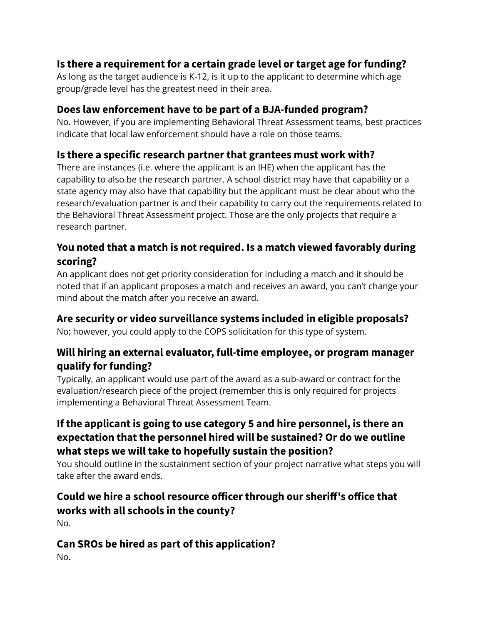### <span id="page-4-0"></span>**Is there a requirement for a certain grade level or target age for funding?**

As long as the target audience is K-12, is it up to the applicant to determine which age group/grade level has the greatest need in their area.

### <span id="page-4-1"></span>**Does law enforcement have to be part of a BJA-funded program?**

No. However, if you are implementing Behavioral Threat Assessment teams, best practices indicate that local law enforcement should have a role on those teams.

### <span id="page-4-2"></span>**Is there a specific research partner that grantees must work with?**

There are instances (i.e. where the applicant is an IHE) when the applicant has the capability to also be the research partner. A school district may have that capability or a state agency may also have that capability but the applicant must be clear about who the research/evaluation partner is and their capability to carry out the requirements related to the Behavioral Threat Assessment project. Those are the only projects that require a research partner.

### <span id="page-4-3"></span>**You noted that a match is not required. Is a match viewed favorably during scoring?**

An applicant does not get priority consideration for including a match and it should be noted that if an applicant proposes a match and receives an award, you can't change your mind about the match after you receive an award.

### <span id="page-4-4"></span>**Are security or video surveillance systems included in eligible proposals?**

No; however, you could apply to the COPS solicitation for this type of system.

### <span id="page-4-5"></span>**Will hiring an external evaluator, full-time employee, or program manager qualify for funding?**

Typically, an applicant would use part of the award as a sub-award or contract for the evaluation/research piece of the project (remember this is only required for projects implementing a Behavioral Threat Assessment Team.

### **If the applicant is going to use category 5 and hire personnel, is there an expectation that the personnel hired will be sustained? Or do we outline what steps we will take to hopefully sustain the position?**

<span id="page-4-6"></span>You should outline in the sustainment section of your project narrative what steps you will take after the award ends.

# <span id="page-4-7"></span>**Could we hire a school resource officer through our sheriff's office that works with all schools in the county?**

No.

# <span id="page-4-8"></span>**Can SROs be hired as part of this application?**

No.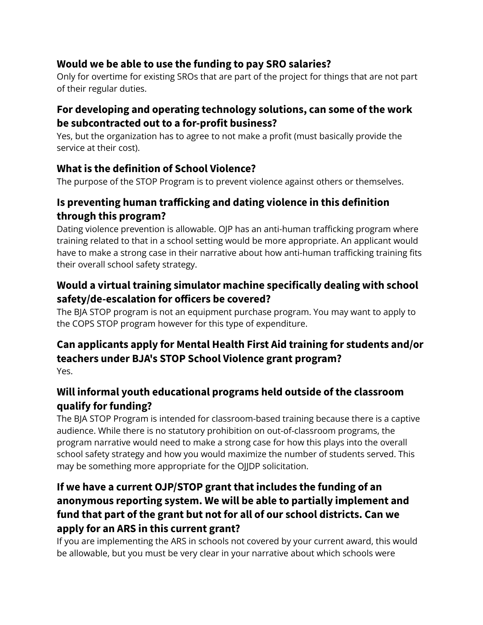### <span id="page-5-0"></span>**Would we be able to use the funding to pay SRO salaries?**

Only for overtime for existing SROs that are part of the project for things that are not part of their regular duties.

### <span id="page-5-1"></span>**For developing and operating technology solutions, can some of the work be subcontracted out to a for-profit business?**

Yes, but the organization has to agree to not make a profit (must basically provide the service at their cost).

### <span id="page-5-2"></span>**What is the definition of School Violence?**

The purpose of the STOP Program is to prevent violence against others or themselves.

### <span id="page-5-3"></span>**Is preventing human trafficking and dating violence in this definition through this program?**

Dating violence prevention is allowable. OJP has an anti-human trafficking program where training related to that in a school setting would be more appropriate. An applicant would have to make a strong case in their narrative about how anti-human trafficking training fits their overall school safety strategy.

### <span id="page-5-4"></span>**Would a virtual training simulator machine specifically dealing with school safety/de-escalation for officers be covered?**

The BJA STOP program is not an equipment purchase program. You may want to apply to the COPS STOP program however for this type of expenditure.

### <span id="page-5-5"></span>**Can applicants apply for Mental Health First Aid training for students and/or teachers under BJA's STOP School Violence grant program?** Yes.

### <span id="page-5-6"></span>**Will informal youth educational programs held outside of the classroom qualify for funding?**

The BJA STOP Program is intended for classroom-based training because there is a captive audience. While there is no statutory prohibition on out-of-classroom programs, the program narrative would need to make a strong case for how this plays into the overall school safety strategy and how you would maximize the number of students served. This may be something more appropriate for the OJJDP solicitation.

### **If we have a current OJP/STOP grant that includes the funding of an anonymous reporting system. We will be able to partially implement and fund that part of the grant but not for all of our school districts. Can we apply for an ARS in this current grant?**

<span id="page-5-7"></span>If you are implementing the ARS in schools not covered by your current award, this would be allowable, but you must be very clear in your narrative about which schools were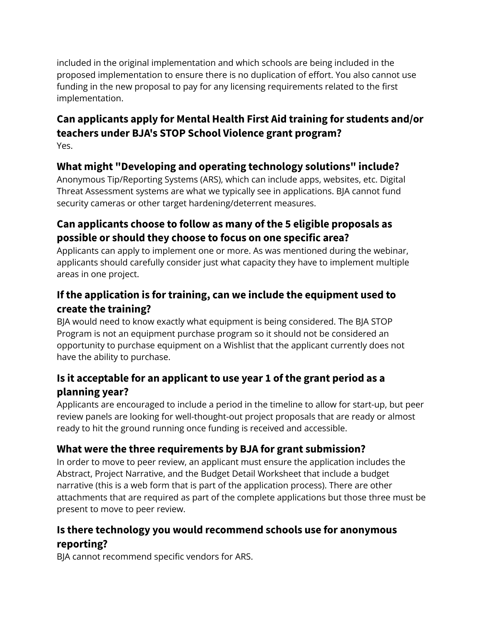included in the original implementation and which schools are being included in the proposed implementation to ensure there is no duplication of effort. You also cannot use funding in the new proposal to pay for any licensing requirements related to the first implementation.

#### <span id="page-6-0"></span>**Can applicants apply for Mental Health First Aid training for students and/or teachers under BJA's STOP School Violence grant program?** Yes.

<span id="page-6-1"></span>

### **What might "Developing and operating technology solutions" include?**

Anonymous Tip/Reporting Systems (ARS), which can include apps, websites, etc. Digital Threat Assessment systems are what we typically see in applications. BJA cannot fund security cameras or other target hardening/deterrent measures.

### <span id="page-6-2"></span>**Can applicants choose to follow as many of the 5 eligible proposals as possible or should they choose to focus on one specific area?**

Applicants can apply to implement one or more. As was mentioned during the webinar, applicants should carefully consider just what capacity they have to implement multiple areas in one project.

### <span id="page-6-3"></span>**If the application is for training, can we include the equipment used to create the training?**

BJA would need to know exactly what equipment is being considered. The BJA STOP Program is not an equipment purchase program so it should not be considered an opportunity to purchase equipment on a Wishlist that the applicant currently does not have the ability to purchase.

### <span id="page-6-4"></span>**Is it acceptable for an applicant to use year 1 of the grant period as a planning year?**

Applicants are encouraged to include a period in the timeline to allow for start-up, but peer review panels are looking for well-thought-out project proposals that are ready or almost ready to hit the ground running once funding is received and accessible.

### <span id="page-6-5"></span>**What were the three requirements by BJA for grant submission?**

In order to move to peer review, an applicant must ensure the application includes the Abstract, Project Narrative, and the Budget Detail Worksheet that include a budget narrative (this is a web form that is part of the application process). There are other attachments that are required as part of the complete applications but those three must be present to move to peer review.

### <span id="page-6-6"></span>**Is there technology you would recommend schools use for anonymous reporting?**

BJA cannot recommend specific vendors for ARS.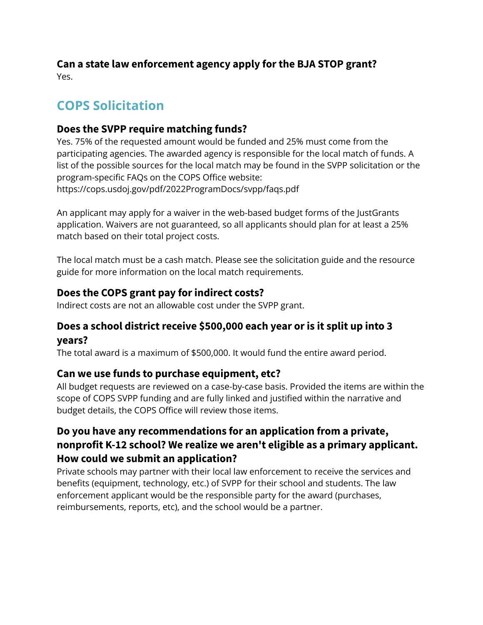#### <span id="page-7-0"></span>**Can a state law enforcement agency apply for the BJA STOP grant?** Yes.

# <span id="page-7-1"></span>**COPS Solicitation**

### <span id="page-7-2"></span>**Does the SVPP require matching funds?**

Yes. 75% of the requested amount would be funded and 25% must come from the participating agencies. The awarded agency is responsible for the local match of funds. A list of the possible sources for the local match may be found in the SVPP solicitation or the program-specific FAQs on the COPS Office website: https://cops.usdoj.gov/pdf/2022ProgramDocs/svpp/faqs.pdf

An applicant may apply for a waiver in the web-based budget forms of the JustGrants application. Waivers are not guaranteed, so all applicants should plan for at least a 25% match based on their total project costs.

The local match must be a cash match. Please see the solicitation guide and the resource guide for more information on the local match requirements.

### <span id="page-7-3"></span>**Does the COPS grant pay for indirect costs?**

Indirect costs are not an allowable cost under the SVPP grant.

### <span id="page-7-4"></span>**Does a school district receive \$500,000 each year or is it split up into 3 years?**

The total award is a maximum of \$500,000. It would fund the entire award period.

### <span id="page-7-5"></span>**Can we use funds to purchase equipment, etc?**

All budget requests are reviewed on a case-by-case basis. Provided the items are within the scope of COPS SVPP funding and are fully linked and justified within the narrative and budget details, the COPS Office will review those items.

### **Do you have any recommendations for an application from a private, nonprofit K-12 school? We realize we aren't eligible as a primary applicant. How could we submit an application?**

<span id="page-7-6"></span>Private schools may partner with their local law enforcement to receive the services and benefits (equipment, technology, etc.) of SVPP for their school and students. The law enforcement applicant would be the responsible party for the award (purchases, reimbursements, reports, etc), and the school would be a partner.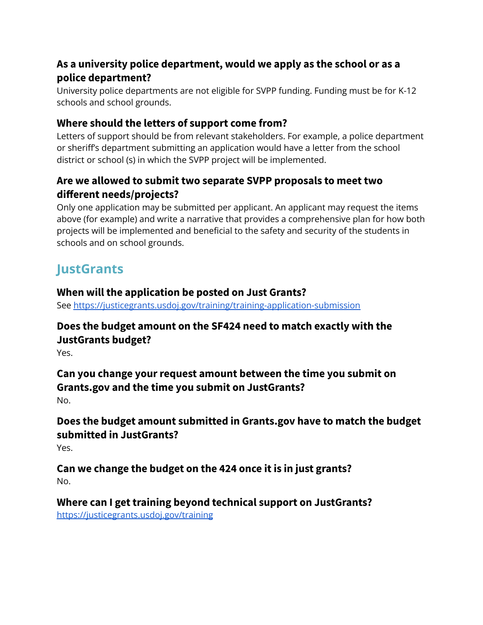### <span id="page-8-0"></span>**As a university police department, would we apply as the school or as a police department?**

University police departments are not eligible for SVPP funding. Funding must be for K-12 schools and school grounds.

### <span id="page-8-1"></span>**Where should the letters of support come from?**

Letters of support should be from relevant stakeholders. For example, a police department or sheriff's department submitting an application would have a letter from the school district or school (s) in which the SVPP project will be implemented.

### <span id="page-8-2"></span>**Are we allowed to submit two separate SVPP proposals to meet two different needs/projects?**

Only one application may be submitted per applicant. An applicant may request the items above (for example) and write a narrative that provides a comprehensive plan for how both projects will be implemented and beneficial to the safety and security of the students in schools and on school grounds.

# <span id="page-8-3"></span>**JustGrants**

### <span id="page-8-4"></span>**When will the application be posted on Just Grants?**

See <https://justicegrants.usdoj.gov/training/training-application-submission>

### <span id="page-8-5"></span>**Does the budget amount on the SF424 need to match exactly with the JustGrants budget?**

Yes.

#### <span id="page-8-6"></span>**Can you change your request amount between the time you submit on Grants.gov and the time you submit on JustGrants?** No.

### <span id="page-8-7"></span>**Does the budget amount submitted in Grants.gov have to match the budget submitted in JustGrants?**

Yes.

#### <span id="page-8-8"></span>**Can we change the budget on the 424 once it is in just grants?** No.

## <span id="page-8-9"></span>**Where can I get training beyond technical support on JustGrants?**

<https://justicegrants.usdoj.gov/training>